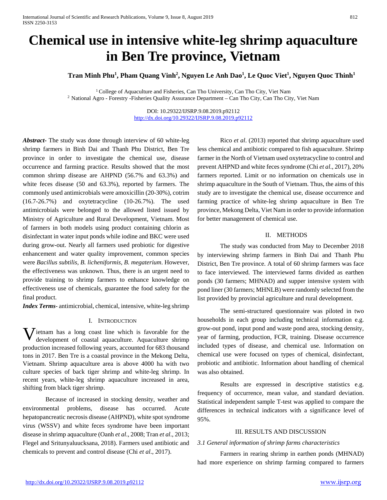# **Chemical use in intensive white-leg shrimp aquaculture in Ben Tre province, Vietnam**

**Tran Minh Phu1 , Pham Quang Vinh2 , Nguyen Le Anh Dao1 , Le Quoc Viet1 , Nguyen Quoc Thinh1**

<sup>1</sup> College of Aquaculture and Fisheries, Can Tho University, Can Tho City, Viet Nam <sup>2</sup> National Agro - Forestry -Fisheries Quality Assurance Department – Can Tho City, Can Tho City, Viet Nam

> DOI: 10.29322/IJSRP.9.08.2019.p92112 <http://dx.doi.org/10.29322/IJSRP.9.08.2019.p92112>

*Abstract***-** The study was done through interview of 60 white-leg shrimp farmers in Binh Dai and Thanh Phu District, Ben Tre province in order to investigate the chemical use, disease occurrence and farming practice. Results showed that the most common shrimp disease are AHPND (56.7% and 63.3%) and white feces disease (50 and 63.3%), reported by farmers. The commonly used antimicrobials were amoxicillin (20-30%), cotrim (16.7-26.7%) and oxytetracycline (10-26.7%). The used antimicrobials were belonged to the allowed listed issued by Ministry of Agriculture and Rural Development, Vietnam. Most of farmers in both models using product containing chlorin as disinfectant in water input ponds while iodine and BKC were used during grow-out. Nearly all farmers used probiotic for digestive enhancement and water quality improvement, common species were *Bacillus subtilis, B. licheniformis, B. megaterium*. However, the effectiveness was unknown. Thus, there is an urgent need to provide training to shrimp farmers to enhance knowledge on effectiveness use of chemicals, guarantee the food safety for the final product.

*Index Terms*- antimicrobial, chemical, intensive, white-leg shrimp

## I. INTRODUCTION

**V** ietnam has a long coast line which is favorable for the development of coastal aquaculture. Aquaculture shrimp development of coastal aquaculture. Aquaculture shrimp production increased following years, accounted for 683 thousand tons in 2017. Ben Tre is a coastal province in the Mekong Delta, Vietnam. Shrimp aquaculture area is above 4000 ha with two culture species of back tiger shrimp and white-leg shrimp. In recent years, white-leg shrimp aquaculture increased in area, shifting from black tiger shrimp.

Because of increased in stocking density, weather and environmental problems, disease has occurred. Acute hepatopancreatic necrosis disease (AHPND), white spot syndrome virus (WSSV) and white feces syndrome have been important disease in shrimp aquaculture (Oanh *et al*., 2008; Tran *et al*., 2013; Flegel and Sritunyaluucksana, 2018). Farmers used antibiotic and chemicals to prevent and control disease (Chi *et al*., 2017).

Rico *et al*. (2013) reported that shrimp aquaculture used less chemical and antibiotic compared to fish aquaculture. Shrimp farmer in the North of Vietnam used oxytetracycline to control and prevent AHPND and white feces syndrome (Chi *et al*., 2017), 20% farmers reported. Limit or no information on chemicals use in shrimp aquaculture in the South of Vietnam. Thus, the aims of this study are to investigate the chemical use, disease occurrence and farming practice of white-leg shrimp aquaculture in Ben Tre province, Mekong Delta, Viet Nam in order to provide information for better management of chemical use.

#### II. METHODS

The study was conducted from May to December 2018 by interviewing shrimp farmers in Binh Dai and Thanh Phu District, Ben Tre province. A total of 60 shrimp farmers was face to face interviewed. The interviewed farms divided as earthen ponds (30 farmers; MHNAD) and supper intensive system with pond liner (30 farmers; MHNLB) were randomly selected from the list provided by provincial agriculture and rural development.

The semi-structured questionnaire was piloted in two households in each group including technical information e.g. grow-out pond, input pond and waste pond area, stocking density, year of farming, production, FCR, training. Disease occurrence included types of disease, and chemical use. Information on chemical use were focused on types of chemical, disinfectant, probiotic and antibiotic. Information about handling of chemical was also obtained.

Results are expressed in descriptive statistics e.g. frequency of occurrence, mean value, and standard deviation. Statistical independent sample T-test was applied to compare the differences in technical indicators with a significance level of 95%.

## III. RESULTS AND DISCUSSION

## *3.1 General information of shrimp farms characteristics*

Farmers in rearing shrimp in earthen ponds (MHNAD) had more experience on shrimp farming compared to farmers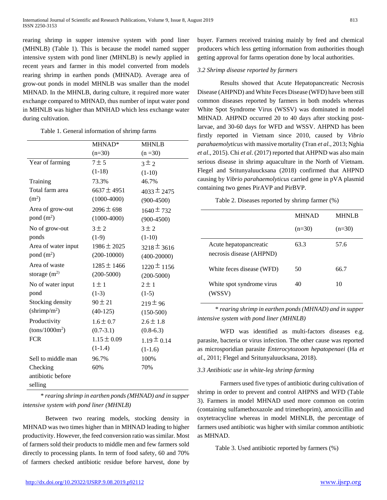rearing shrimp in supper intensive system with pond liner (MHNLB) (Table 1). This is because the model named supper intensive system with pond liner (MHNLB) is newly applied in recent years and farmer in this model converted from models rearing shrimp in earthen ponds (MHNAD). Average area of grow-out ponds in model MHNLB was smaller than the model MHNAD. In the MHNLB, during culture, it required more water exchange compared to MHNAD, thus number of input water pond in MHNLB was higher than MNHAD which less exchange water during cultivation.

#### Table 1. General information of shrimp farms

|                          | MHNAD*          | <b>MHNLB</b>    |
|--------------------------|-----------------|-----------------|
|                          | $(n=30)$        | $(n=30)$        |
| Year of farming          | $7 \pm 5$       | $3 \pm 2$       |
|                          | $(1-18)$        | $(1-10)$        |
| Training                 | 73.3%           | 46.7%           |
| Total farm area          | $6637 \pm 4951$ | $4033 \pm 2475$ |
| (m <sup>2</sup> )        | $(1000-4000)$   | $(900-4500)$    |
| Area of grow-out         | $2096 \pm 698$  | $1640 \pm 732$  |
| pond $(m2)$              | $(1000-4000)$   | $(900-4500)$    |
| No of grow-out           | $3 \pm 2$       | $3 \pm 2$       |
| ponds                    | $(1-9)$         | $(1-10)$        |
| Area of water input      | $1986 \pm 2025$ | $3218 \pm 3616$ |
| pond $(m2)$              | $(200-10000)$   | $(400 - 20000)$ |
| Area of waste            | $1285 \pm 1466$ | $1220 \pm 1156$ |
| storage $(m^2)$          | $(200 - 5000)$  | $(200 - 5000)$  |
| No of water input        | $1 \pm 1$       | $2 \pm 1$       |
| pond                     | $(1-3)$         | $(1-5)$         |
| Stocking density         | $90 \pm 21$     | $219 \pm 96$    |
| (shrimp/m <sup>2</sup> ) | $(40-125)$      | $(150-500)$     |
| Productivity             | $1.6 \pm 0.7$   | $2.6 \pm 1.8$   |
| $(tons/1000m^2)$         | $(0.7-3.1)$     | $(0.8-6.3)$     |
| <b>FCR</b>               | $1.15 \pm 0.09$ | $1.19 \pm 0.14$ |
|                          | $(1-1.4)$       | $(1-1.6)$       |
| Sell to middle man       | 96.7%           | 100%            |
| Checking                 | 60%             | 70%             |
| antibiotic before        |                 |                 |
| selling                  |                 |                 |

\* *rearing shrimp in earthen ponds (MHNAD) and in supper intensive system with pond liner (MHNLB)*

Between two rearing models, stocking density in MHNAD was two times higher than in MHNAD leading to higher productivity. However, the feed conversion ratio was similar. Most of farmers sold their products to middle men and few farmers sold directly to processing plants. In term of food safety, 60 and 70% of farmers checked antibiotic residue before harvest, done by buyer. Farmers received training mainly by feed and chemical producers which less getting information from authorities though getting approval for farms operation done by local authorities.

#### *3.2 Shrimp disease reported by farmers*

Results showed that Acute Hepatopancreatic Necrosis Disease (AHPND) and White Feces Disease (WFD) have been still common diseases reported by farmers in both models whereas White Spot Syndrome Virus (WSSV) was dominated in model MHNAD. AHPND occurred 20 to 40 days after stocking postlarvae, and 30-60 days for WFD and WSSV. AHPND has been firstly reported in Vietnam since 2010, caused by *Vibrio parahaemolyticus* with massive mortality (Tran *et al*., 2013; Nghia *et al*., 2015). Chi *et al*. (2017) reported that AHPND was also main serious disease in shrimp aquaculture in the North of Vietnam. Flegel and Sritunyaluucksana (2018) confirmed that AHPND causing by *Vibrio parahaemolyticus* carried gene in pVA plasmid containing two genes PirAVP and PirBVP.

| Table 2. Diseases reported by shrimp farmer (%) |  |  |  |  |
|-------------------------------------------------|--|--|--|--|
|-------------------------------------------------|--|--|--|--|

|                                                    | <b>MHNAD</b> | MHNLB    |
|----------------------------------------------------|--------------|----------|
|                                                    | $(n=30)$     | $(n=30)$ |
| Acute hepatopancreatic<br>necrosis disease (AHPND) | 63.3         | 57.6     |
| White feces disease (WFD)                          | 50           | 66.7     |
| White spot syndrome virus<br>(WSSV)                | 40           | 10       |

\* *rearing shrimp in earthen ponds (MHNAD) and in supper intensive system with pond liner (MHNLB)*

WFD was identified as multi-factors diseases e.g. parasite, bacteria or virus infection. The other cause was reported as microsporidian parasite *Enterocytozoom hepatopenaei* (Ha *et al*., 2011; Flegel and Sritunyaluucksana, 2018).

## *3.3 Antibiotic use in white-leg shrimp farming*

Farmers used five types of antibiotic during cultivation of shrimp in order to prevent and control AHPNS and WFD (Table 3). Farmers in model MHNAD used more common on cotrim (containing sulfamethoxazole and trimethoprim), amoxicillin and oxytetracycline whereas in model MHNLB, the percentage of farmers used antibiotic was higher with similar common antibiotic as MHNAD.

Table 3. Used antibiotic reported by farmers (%)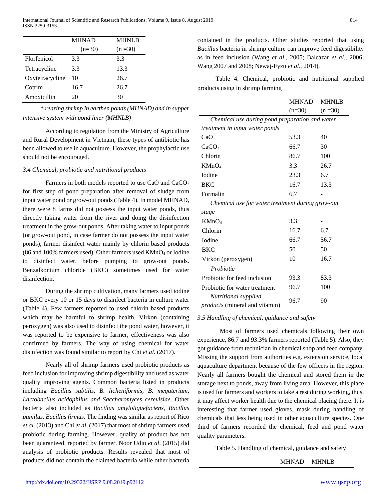|                 | <b>MHNAD</b> | <b>MHNLB</b> |
|-----------------|--------------|--------------|
|                 | $(n=30)$     | $(n=30)$     |
| Florfenicol     | 3.3          | 3.3          |
| Tetracycline    | 3.3          | 13.3         |
| Oxytetracycline | 10           | 26.7         |
| Cotrim          | 16.7         | 26.7         |
| Amoxicillin     | 20           | 30           |

\* *rearing shrimp in earthen ponds (MHNAD) and in supper intensive system with pond liner (MHNLB)*

According to regulation from the Ministry of Agriculture and Rural Development in Vietnam, these types of antibiotic has been allowed to use in aquaculture. However, the prophylactic use should not be encouraged.

## *3.4 Chemical, probiotic and nutritional products*

Farmers in both models reported to use CaO and CaCO<sub>3</sub> for first step of pond preparation after removal of sludge from input water pond or grow-out ponds (Table 4). In model MHNAD, there were 8 farms did not possess the input water ponds, thus directly taking water from the river and doing the disinfection treatment in the grow-out ponds. After taking water to input ponds (or grow-out pond, in case farmer do not possess the input water ponds), farmer disinfect water mainly by chlorin based products (86 and 100% farmers used). Other farmers used  $KMnO<sub>4</sub>$  or Iodine to disinfect water, before pumping to grow-out ponds. Benzalkonium chloride (BKC) sometimes used for water disinfection.

During the shrimp cultivation, many farmers used iodine or BKC every 10 or 15 days to disinfect bacteria in culture water (Table 4). Few farmers reported to used chlorin based products which may be harmful to shrimp health. Virkon (containing peroxygen) was also used to disinfect the pond water, however, it was reported to be expensive to farmer, effectiveness was also confirmed by farmers. The way of using chemical for water disinfection was found similar to report by Chi *et al*. (2017).

Nearly all of shrimp farmers used probiotic products as feed inclusion for improving shrimp digestibility and used as water quality improving agents. Common bacteria listed in products including *Bacillus subtilis, B. licheniformis, B. megaterium, Lactobacilus acidophilus and Saccharomyces cerevisiae*. Other bacteria also included as *Bacillus amyloliquefaciens, Bacillus pumilus, Bacillus firmus*. The finding was similar as report of Rico *et al*. (2013) and Chi *et al*. (2017) that most of shrimp farmers used probiotic during farming. However, quality of product has not been guaranteed, reported by farmer. Noor Udin *et al*. (2015) did analysis of probiotic products. Results revealed that most of products did not contain the claimed bacteria while other bacteria

contained in the products. Other studies reported that using *Bacillus* bacteria in shrimp culture can improve feed digestibility as in feed inclusion (Wang *et al*., 2005; Balcázar *et al*., 2006; Wang 2007 and 2008; Newaj-Fyzu *et al*., 2014).

Table 4. Chemical, probiotic and nutritional supplied products using in shrimp farming

|                                                        | MHNAD    | <b>MHNLB</b> |
|--------------------------------------------------------|----------|--------------|
|                                                        | $(n=30)$ | $(n = 30)$   |
| Chemical use during pond preparation and water         |          |              |
| treatment in input water ponds                         |          |              |
| CaO                                                    | 53.3     | 40           |
| CaCO <sub>3</sub>                                      | 66.7     | 30           |
| Chlorin                                                | 86.7     | 100          |
| KMnO <sub>4</sub>                                      | 3.3      | 26.7         |
| <b>I</b> odine                                         | 23.3     | 6.7          |
| <b>BKC</b>                                             | 16.7     | 13.3         |
| Formalin                                               | 6.7      |              |
| Chemical use for water treatment during grow-out       |          |              |
| stage                                                  |          |              |
| KMnO <sub>4</sub>                                      | 3.3      |              |
| Chlorin                                                | 16.7     | 6.7          |
| <b>I</b> odine                                         | 66.7     | 56.7         |
| <b>BKC</b>                                             | 50       | 50           |
| Virkon (peroxygen)                                     | 10       | 16.7         |
| Probiotic                                              |          |              |
| Probiotic for feed inclusion                           | 93.3     | 83.3         |
| Probiotic for water treatment                          | 96.7     | 100          |
| Nutritional supplied<br>products (mineral and vitamin) | 96.7     | 90           |

## *3.5 Handling of chemical, guidance and safety*

Most of farmers used chemicals following their own experience, 86.7 and 93.3% farmers reported (Table 5). Also, they got guidance from technician in chemical shop and feed company. Missing the support from authorities e.g. extension service, local aquaculture department because of the few officers in the region. Nearly all farmers bought the chemical and stored them in the storage next to ponds, away from living area. However, this place is used for farmers and workers to take a rest during working, thus, it may affect worker health due to the chemical placing there. It is interesting that farmer used gloves, mask during handling of chemicals that less being used in other aquaculture species. One third of farmers recorded the chemical, feed and pond water quality parameters.

Table 5. Handling of chemical, guidance and safety

```
MHNAD MHNLB
```